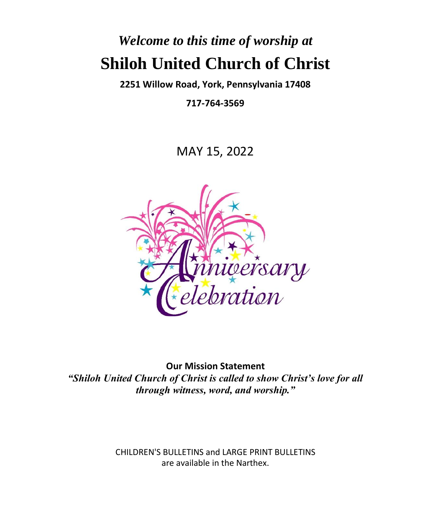# *Welcome to this time of worship at* **Shiloh United Church of Christ**

**2251 Willow Road, York, Pennsylvania 17408**

**717-764-3569**

MAY 15, 2022



**Our Mission Statement** *"Shiloh United Church of Christ is called to show Christ's love for all through witness, word, and worship."*

> CHILDREN'S BULLETINS and LARGE PRINT BULLETINS are available in the Narthex.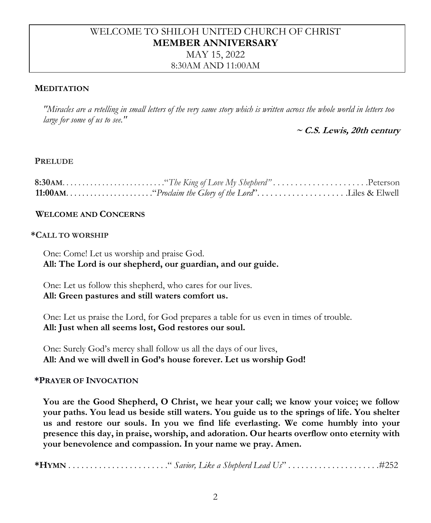## WELCOME TO SHILOH UNITED CHURCH OF CHRIST **MEMBER ANNIVERSARY**

#### MAY 15, 2022 8:30AM AND 11:00AM

#### **MEDITATION**

*"Miracles are a retelling in small letters of the very same story which is written across the whole world in letters too large for some of us to see."*

**~ C.S. Lewis, 20th century**

#### **PRELUDE**

#### **WELCOME AND CONCERNS**

#### **\*CALL TO WORSHIP**

One: Come! Let us worship and praise God. **All: The Lord is our shepherd, our guardian, and our guide.**

One: Let us follow this shepherd, who cares for our lives. **All: Green pastures and still waters comfort us.**

One: Let us praise the Lord, for God prepares a table for us even in times of trouble. **All: Just when all seems lost, God restores our soul.**

One: Surely God's mercy shall follow us all the days of our lives, **All: And we will dwell in God's house forever. Let us worship God!**

#### **\*PRAYER OF INVOCATION**

**You are the Good Shepherd, O Christ, we hear your call; we know your voice; we follow your paths. You lead us beside still waters. You guide us to the springs of life. You shelter us and restore our souls. In you we find life everlasting. We come humbly into your presence this day, in praise, worship, and adoration. Our hearts overflow onto eternity with your benevolence and compassion. In your name we pray. Amen.**

**\*HYMN** . . . . . . . . . . . . . . . . . . . . . . ." *Savior, Like a Shepherd Lead Us*" . . . . . . . . . . . . . . . . . . . . .#252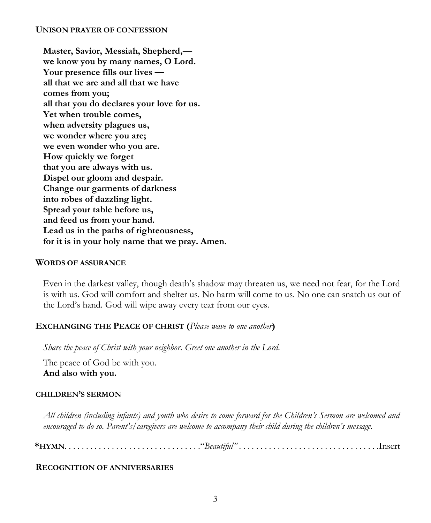#### **UNISON PRAYER OF CONFESSION**

**Master, Savior, Messiah, Shepherd, we know you by many names, O Lord. Your presence fills our lives all that we are and all that we have comes from you; all that you do declares your love for us. Yet when trouble comes, when adversity plagues us, we wonder where you are; we even wonder who you are. How quickly we forget that you are always with us. Dispel our gloom and despair. Change our garments of darkness into robes of dazzling light. Spread your table before us, and feed us from your hand. Lead us in the paths of righteousness, for it is in your holy name that we pray. Amen.**

#### **WORDS OF ASSURANCE**

Even in the darkest valley, though death's shadow may threaten us, we need not fear, for the Lord is with us. God will comfort and shelter us. No harm will come to us. No one can snatch us out of the Lord's hand. God will wipe away every tear from our eyes.

#### **EXCHANGING THE PEACE OF CHRIST (***Please wave to one another***)**

*Share the peace of Christ with your neighbor. Greet one another in the Lord.*

The peace of God be with you. **And also with you.**

#### **CHILDREN'S SERMON**

*All children (including infants) and youth who desire to come forward for the Children's Sermon are welcomed and encouraged to do so. Parent's/caregivers are welcome to accompany their child during the children's message.*

**\*HYMN**. . . . . . . . . . . . . . . . . . . . . . . . . . . . . . . ."*Beautiful"* . . . . . . . . . . . . . . . . . . . . . . . . . . . . . . . . .Insert

#### **RECOGNITION OF ANNIVERSARIES**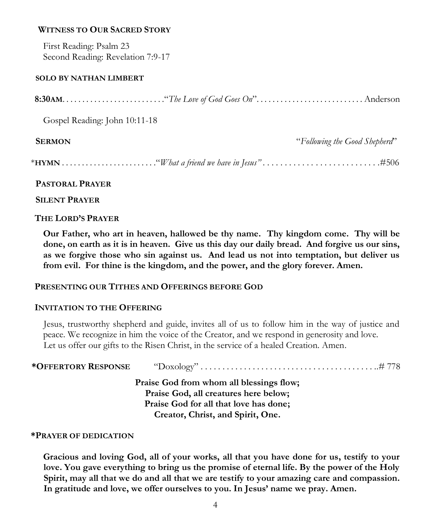#### **WITNESS TO OUR SACRED STORY**

First Reading: Psalm 23 Second Reading: Revelation 7:9-17

#### **SOLO BY NATHAN LIMBERT**

|--|--|--|

Gospel Reading: John 10:11-18

| <b>SERMON</b> | "Following the Good Shepherd" |
|---------------|-------------------------------|
|               |                               |

#### **PASTORAL PRAYER**

 **SILENT PRAYER**

#### **THE LORD'S PRAYER**

**Our Father, who art in heaven, hallowed be thy name. Thy kingdom come. Thy will be done, on earth as it is in heaven. Give us this day our daily bread. And forgive us our sins, as we forgive those who sin against us. And lead us not into temptation, but deliver us from evil. For thine is the kingdom, and the power, and the glory forever. Amen.**

#### **PRESENTING OUR TITHES AND OFFERINGS BEFORE GOD**

#### **INVITATION TO THE OFFERING**

Jesus, trustworthy shepherd and guide, invites all of us to follow him in the way of justice and peace. We recognize in him the voice of the Creator, and we respond in generosity and love. Let us offer our gifts to the Risen Christ, in the service of a healed Creation. Amen.

| <i><b>*OFFERTORY RESPONSE</b></i> |                                          |
|-----------------------------------|------------------------------------------|
|                                   | Praise God from whom all blessings flow; |
|                                   | Praise God, all creatures here below;    |
|                                   | Praise God for all that love has done;   |
|                                   | Creator, Christ, and Spirit, One.        |

#### **\*PRAYER OF DEDICATION**

**Gracious and loving God, all of your works, all that you have done for us, testify to your love. You gave everything to bring us the promise of eternal life. By the power of the Holy Spirit, may all that we do and all that we are testify to your amazing care and compassion. In gratitude and love, we offer ourselves to you. In Jesus' name we pray. Amen.**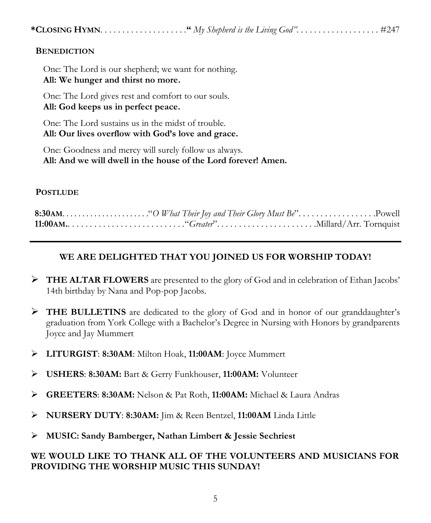#### **BENEDICTION**

One: The Lord is our shepherd; we want for nothing. **All: We hunger and thirst no more.**

One: The Lord gives rest and comfort to our souls. **All: God keeps us in perfect peace.**

One: The Lord sustains us in the midst of trouble. **All: Our lives overflow with God's love and grace.**

One: Goodness and mercy will surely follow us always. **All: And we will dwell in the house of the Lord forever! Amen.**

#### **POSTLUDE**

### **WE ARE DELIGHTED THAT YOU JOINED US FOR WORSHIP TODAY!**

- ➢ **THE ALTAR FLOWERS** are presented to the glory of God and in celebration of Ethan Jacobs' 14th birthday by Nana and Pop-pop Jacobs.
- ➢ **THE BULLETINS** are dedicated to the glory of God and in honor of our granddaughter's graduation from York College with a Bachelor's Degree in Nursing with Honors by grandparents Joyce and Jay Mummert
- ➢ **LITURGIST**: **8:30AM**: Milton Hoak, **11:00AM**: Joyce Mummert
- ➢ **USHERS**: **8:30AM:** Bart & Gerry Funkhouser, **11:00AM:** Volunteer
- ➢ **GREETERS**: **8:30AM:** Nelson & Pat Roth, **11:00AM:** Michael & Laura Andras
- ➢ **NURSERY DUTY**: **8:30AM:** Jim & Reen Bentzel, **11:00AM** Linda Little
- ➢ **MUSIC: Sandy Bamberger, Nathan Limbert & Jessie Sechriest**

#### **WE WOULD LIKE TO THANK ALL OF THE VOLUNTEERS AND MUSICIANS FOR PROVIDING THE WORSHIP MUSIC THIS SUNDAY!**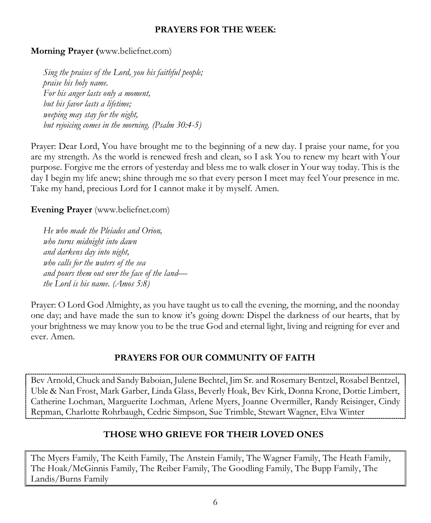#### **PRAYERS FOR THE WEEK:**

#### **Morning Prayer (**www.beliefnet.com)

*Sing the praises of the Lord, you his faithful people; praise his holy name. For his anger lasts only a moment, but his favor lasts a lifetime; weeping may stay for the night, but rejoicing comes in the morning. (Psalm 30:4-5)*

Prayer: Dear Lord, You have brought me to the beginning of a new day. I praise your name, for you are my strength. As the world is renewed fresh and clean, so I ask You to renew my heart with Your purpose. Forgive me the errors of yesterday and bless me to walk closer in Your way today. This is the day I begin my life anew; shine through me so that every person I meet may feel Your presence in me. Take my hand, precious Lord for I cannot make it by myself. Amen.

**Evening Prayer** (www.beliefnet.com)

*He who made the Pleiades and Orion, who turns midnight into dawn and darkens day into night, who calls for the waters of the sea and pours them out over the face of the land the Lord is his name. (Amos 5:8)*

Prayer: O Lord God Almighty, as you have taught us to call the evening, the morning, and the noonday one day; and have made the sun to know it's going down: Dispel the darkness of our hearts, that by your brightness we may know you to be the true God and eternal light, living and reigning for ever and ever. Amen.

#### **PRAYERS FOR OUR COMMUNITY OF FAITH**

Bev Arnold, Chuck and Sandy Baboian, Julene Bechtel, Jim Sr. and Rosemary Bentzel, Rosabel Bentzel, Uble & Nan Frost, Mark Garber, Linda Glass, Beverly Hoak, Bev Kirk, Donna Krone, Dottie Limbert, Catherine Lochman, Marguerite Lochman, Arlene Myers, Joanne Overmiller, Randy Reisinger, Cindy Repman, Charlotte Rohrbaugh, Cedric Simpson, Sue Trimble, Stewart Wagner, Elva Winter

#### **THOSE WHO GRIEVE FOR THEIR LOVED ONES**

The Myers Family, The Keith Family, The Anstein Family, The Wagner Family, The Heath Family, The Hoak/McGinnis Family, The Reiber Family, The Goodling Family, The Bupp Family, The Landis/Burns Family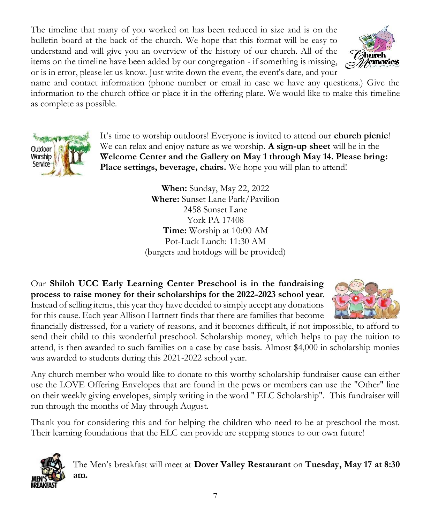The timeline that many of you worked on has been reduced in size and is on the bulletin board at the back of the church. We hope that this format will be easy to understand and will give you an overview of the history of our church. All of the items on the timeline have been added by our congregation - if something is missing, or is in error, please let us know. Just write down the event, the event's date, and your



name and contact information (phone number or email in case we have any questions.) Give the information to the church office or place it in the offering plate. We would like to make this timeline as complete as possible.



It's time to worship outdoors! Everyone is invited to attend our **church picnic**! We can relax and enjoy nature as we worship. **A sign-up sheet** will be in the **Welcome Center and the Gallery on May 1 through May 14. Please bring: Place settings, beverage, chairs.** We hope you will plan to attend!

> **When:** Sunday, May 22, 2022 **Where:** Sunset Lane Park/Pavilion 2458 Sunset Lane York PA 17408 **Time:** Worship at 10:00 AM Pot-Luck Lunch: 11:30 AM (burgers and hotdogs will be provided)

Our **Shiloh UCC Early Learning Center Preschool is in the fundraising process to raise money for their scholarships for the 2022-2023 school year**. Instead of selling items, this year they have decided to simply accept any donations for this cause. Each year Allison Hartnett finds that there are families that become



financially distressed, for a variety of reasons, and it becomes difficult, if not impossible, to afford to send their child to this wonderful preschool. Scholarship money, which helps to pay the tuition to attend, is then awarded to such families on a case by case basis. Almost \$4,000 in scholarship monies was awarded to students during this 2021-2022 school year.

Any church member who would like to donate to this worthy scholarship fundraiser cause can either use the LOVE Offering Envelopes that are found in the pews or members can use the "Other" line on their weekly giving envelopes, simply writing in the word " ELC Scholarship". This fundraiser will run through the months of May through August.

Thank you for considering this and for helping the children who need to be at preschool the most. Their learning foundations that the ELC can provide are stepping stones to our own future!



The Men's breakfast will meet at **Dover Valley Restaurant** on **Tuesday, May 17 at 8:30 am.**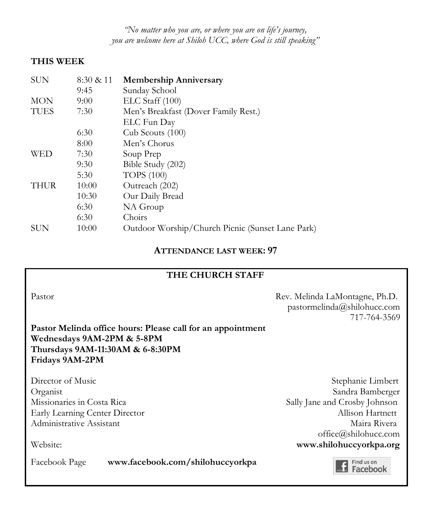*"No matter who you are, or where you are on life's journey, you are welcome here at Shiloh UCC, where God is still speaking"*

#### **THIS WEEK**

| <b>SUN</b>  | 8:30 & 11 | <b>Membership Anniversary</b>                    |
|-------------|-----------|--------------------------------------------------|
|             | 9:45      | Sunday School                                    |
| <b>MON</b>  | 9:00      | ELC Staff (100)                                  |
| <b>TUES</b> | 7:30      | Men's Breakfast (Dover Family Rest.)             |
|             |           | ELC Fun Day                                      |
|             | 6:30      | Cub Scouts (100)                                 |
|             | 8:00      | Men's Chorus                                     |
| WED         | 7:30      | Soup Prep                                        |
|             | 9:30      | Bible Study (202)                                |
|             | 5:30      | <b>TOPS</b> (100)                                |
| <b>THUR</b> | 10:00     | Outreach (202)                                   |
|             | 10:30     | Our Daily Bread                                  |
|             | 6:30      | NA Group                                         |
|             | 6:30      | Choirs                                           |
| <b>SUN</b>  | 10:00     | Outdoor Worship/Church Picnic (Sunset Lane Park) |

#### **ATTENDANCE LAST WEEK: 97**

#### **THE CHURCH STAFF**

Pastor Rev. Melinda LaMontagne, Ph.D. pastormelinda@shilohucc.com 717-764-3569

**Pastor Melinda office hours: Please call for an appointment Wednesdays 9AM-2PM & 5-8PM Thursdays 9AM-11:30AM & 6-8:30PM Fridays 9AM-2PM**

Director of Music Stephanie Limbert Organist Sandra Bamberger Missionaries in Costa Rica Sally Jane and Crosby Johnson Early Learning Center Director Allison Hartnett Administrative Assistant National Administrative Assistant Maira Rivera office@shilohucc.com Website: **www.shilohuccyorkpa.org**

Facebook Page **www.facebook.com/shilohuccyorkpa**

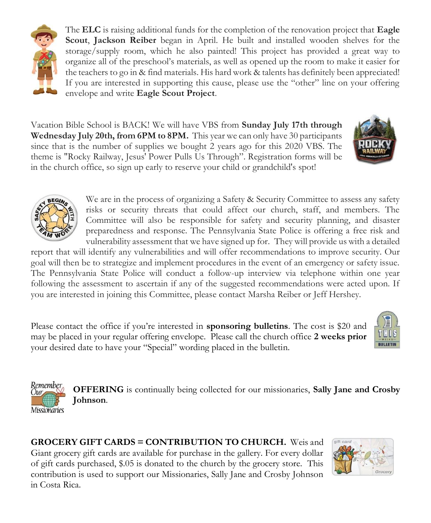

The **ELC** is raising additional funds for the completion of the renovation project that **Eagle Scout**, **Jackson Reiber** began in April. He built and installed wooden shelves for the storage/supply room, which he also painted! This project has provided a great way to organize all of the preschool's materials, as well as opened up the room to make it easier for the teachers to go in & find materials. His hard work & talents has definitely been appreciated! If you are interested in supporting this cause, please use the "other" line on your offering envelope and write **Eagle Scout Project**.

Vacation Bible School is BACK! We will have VBS from **Sunday July 17th through Wednesday July 20th, from 6PM to 8PM.** This year we can only have 30 participants since that is the number of supplies we bought 2 years ago for this 2020 VBS. The theme is "Rocky Railway, Jesus' Power Pulls Us Through". Registration forms will be in the church office, so sign up early to reserve your child or grandchild's spot!





We are in the process of organizing a Safety & Security Committee to assess any safety risks or security threats that could affect our church, staff, and members. The Committee will also be responsible for safety and security planning, and disaster preparedness and response. The Pennsylvania State Police is offering a free risk and vulnerability assessment that we have signed up for. They will provide us with a detailed

report that will identify any vulnerabilities and will offer recommendations to improve security. Our goal will then be to strategize and implement procedures in the event of an emergency or safety issue. The Pennsylvania State Police will conduct a follow-up interview via telephone within one year following the assessment to ascertain if any of the suggested recommendations were acted upon. If you are interested in joining this Committee, please contact Marsha Reiber or Jeff Hershey.

Please contact the office if you're interested in **sponsoring bulletins**. The cost is \$20 and may be placed in your regular offering envelope. Please call the church office **2 weeks prior** your desired date to have your "Special" wording placed in the bulletin.





**OFFERING** is continually being collected for our missionaries, **Sally Jane and Crosby Johnson**.

**GROCERY GIFT CARDS = CONTRIBUTION TO CHURCH.** Weis and Giant grocery gift cards are available for purchase in the gallery. For every dollar

of gift cards purchased, \$.05 is donated to the church by the grocery store. This contribution is used to support our Missionaries, Sally Jane and Crosby Johnson in Costa Rica.